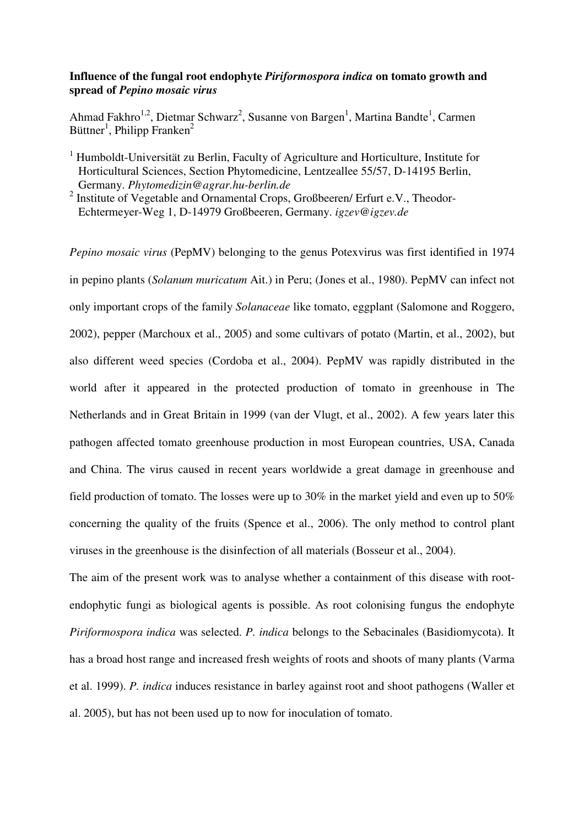## **Influence of the fungal root endophyte** *Piriformospora indica* **on tomato growth and spread of** *Pepino mosaic virus*

Ahmad Fakhro<sup>1,2</sup>, Dietmar Schwarz<sup>2</sup>, Susanne von Bargen<sup>1</sup>, Martina Bandte<sup>1</sup>, Carmen Büttner<sup>1</sup>, Philipp Franken<sup>2</sup>

<sup>1</sup> Humboldt-Universität zu Berlin, Faculty of Agriculture and Horticulture, Institute for Horticultural Sciences, Section Phytomedicine, Lentzeallee 55/57, D-14195 Berlin, Germany. *Phytomedizin@agrar.hu-berlin.de* 

<sup>2</sup> Institute of Vegetable and Ornamental Crops, Großbeeren/ Erfurt e.V., Theodor-Echtermeyer-Weg 1, D-14979 Großbeeren, Germany. *igzev@igzev.de* 

*Pepino mosaic virus* (PepMV) belonging to the genus Potexvirus was first identified in 1974 in pepino plants (*Solanum muricatum* Ait.) in Peru; (Jones et al., 1980). PepMV can infect not only important crops of the family *Solanaceae* like tomato, eggplant (Salomone and Roggero, 2002), pepper (Marchoux et al., 2005) and some cultivars of potato (Martin, et al., 2002), but also different weed species (Cordoba et al., 2004). PepMV was rapidly distributed in the world after it appeared in the protected production of tomato in greenhouse in The Netherlands and in Great Britain in 1999 (van der Vlugt, et al., 2002). A few years later this pathogen affected tomato greenhouse production in most European countries, USA, Canada and China. The virus caused in recent years worldwide a great damage in greenhouse and field production of tomato. The losses were up to 30% in the market yield and even up to 50% concerning the quality of the fruits (Spence et al., 2006). The only method to control plant viruses in the greenhouse is the disinfection of all materials (Bosseur et al., 2004).

The aim of the present work was to analyse whether a containment of this disease with rootendophytic fungi as biological agents is possible. As root colonising fungus the endophyte *Piriformospora indica* was selected. *P. indica* belongs to the Sebacinales (Basidiomycota). It has a broad host range and increased fresh weights of roots and shoots of many plants (Varma et al. 1999). *P. indica* induces resistance in barley against root and shoot pathogens (Waller et al. 2005), but has not been used up to now for inoculation of tomato.